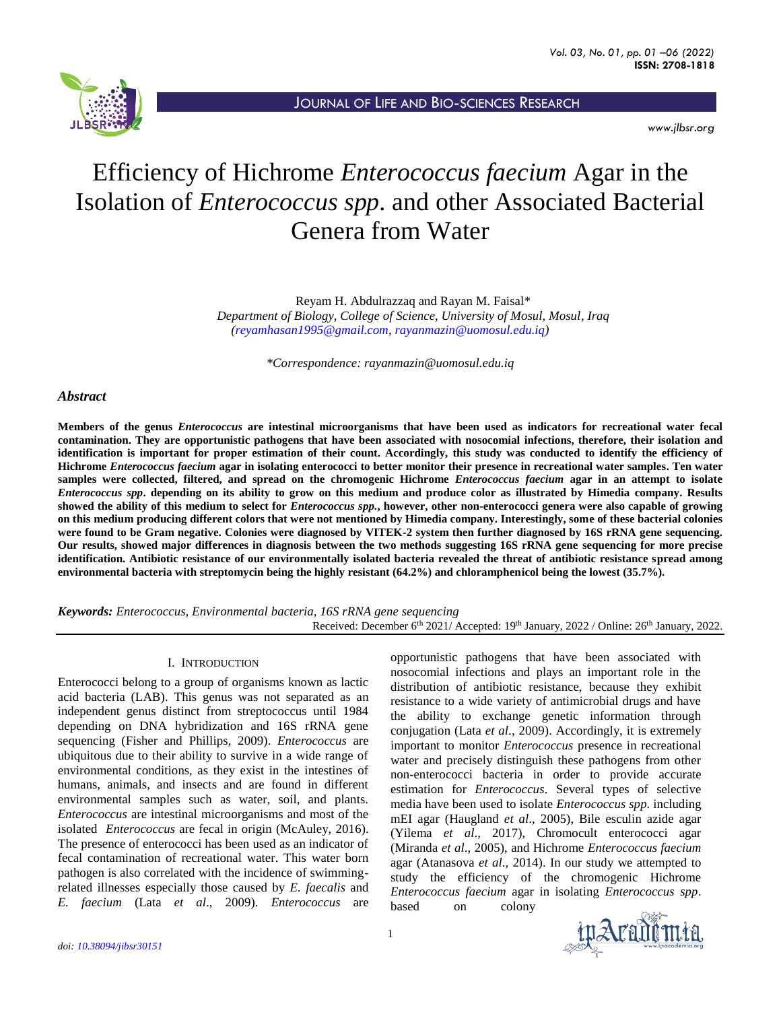

**JOURNAL OF LIFE AND BIO-SCIENCES RESEARCH** 

*www.jlbsr.org*

# Efficiency of Hichrome *Enterococcus faecium* Agar in the Isolation of *Enterococcus spp*. and other Associated Bacterial Genera from Water

Reyam H. Abdulrazzaq and Rayan M. Faisal\* *Department of Biology, College of Science, University of Mosul, Mosul, Iraq [\(reyamhasan1995@gmail.com,](mailto:reyamhasan1995@gmail.com) [rayanmazin@uomosul.edu.iq\)](mailto:rayanmazin@uomosul.edu.iq)*

*\*Correspondence: rayanmazin@uomosul.edu.iq*

## *Abstract*

**Members of the genus** *Enterococcus* **are intestinal microorganisms that have been used as indicators for recreational water fecal contamination. They are opportunistic pathogens that have been associated with nosocomial infections, therefore, their isolation and identification is important for proper estimation of their count. Accordingly, this study was conducted to identify the efficiency of Hichrome** *Enterococcus faecium* **agar in isolating enterococci to better monitor their presence in recreational water samples. Ten water samples were collected, filtered, and spread on the chromogenic Hichrome** *Enterococcus faecium* **agar in an attempt to isolate**  *Enterococcus spp***. depending on its ability to grow on this medium and produce color as illustrated by Himedia company. Results showed the ability of this medium to select for** *Enterococcus spp.***, however, other non-enterococci genera were also capable of growing on this medium producing different colors that were not mentioned by Himedia company. Interestingly, some of these bacterial colonies were found to be Gram negative. Colonies were diagnosed by VITEK-2 system then further diagnosed by 16S rRNA gene sequencing. Our results, showed major differences in diagnosis between the two methods suggesting 16S rRNA gene sequencing for more precise identification. Antibiotic resistance of our environmentally isolated bacteria revealed the threat of antibiotic resistance spread among environmental bacteria with streptomycin being the highly resistant (64.2%) and chloramphenicol being the lowest (35.7%).**

*Keywords: Enterococcus, Environmental bacteria, 16S rRNA gene sequencing* Received: December 6<sup>th</sup> 2021/ Accepted: 19<sup>th</sup> January, 2022 / Online: 26<sup>th</sup> January, 2022.

## I. INTRODUCTION

Enterococci belong to a group of organisms known as lactic acid bacteria (LAB). This genus was not separated as an independent genus distinct from streptococcus until 1984 depending on DNA hybridization and 16S rRNA gene sequencing (Fisher and Phillips, 2009). *Enterococcus* are ubiquitous due to their ability to survive in a wide range of environmental conditions, as they exist in the intestines of humans, animals, and insects and are found in different environmental samples such as water, soil, and plants. *Enterococcus* are intestinal microorganisms and most of the isolated *Enterococcus* are fecal in origin (McAuley, 2016). The presence of enterococci has been used as an indicator of fecal contamination of recreational water. This water born pathogen is also correlated with the incidence of swimmingrelated illnesses especially those caused by *E. faecalis* and *E. faecium* (Lata *et al*., 2009)*. Enterococcus* are

opportunistic pathogens that have been associated with nosocomial infections and plays an important role in the distribution of antibiotic resistance, because they exhibit resistance to a wide variety of antimicrobial drugs and have the ability to exchange genetic information through conjugation (Lata *et al*., 2009). Accordingly, it is extremely important to monitor *Enterococcus* presence in recreational water and precisely distinguish these pathogens from other non-enterococci bacteria in order to provide accurate estimation for *Enterococcus*. Several types of selective media have been used to isolate *Enterococcus spp.* including mEI agar (Haugland *et al*., 2005), Bile esculin azide agar (Yilema *et al*., 2017), Chromocult enterococci agar (Miranda *et al*., 2005), and Hichrome *Enterococcus faecium* agar (Atanasova *et al*., 2014). In our study we attempted to study the efficiency of the chromogenic Hichrome *Enterococcus faecium* agar in isolating *Enterococcus spp*. based on colony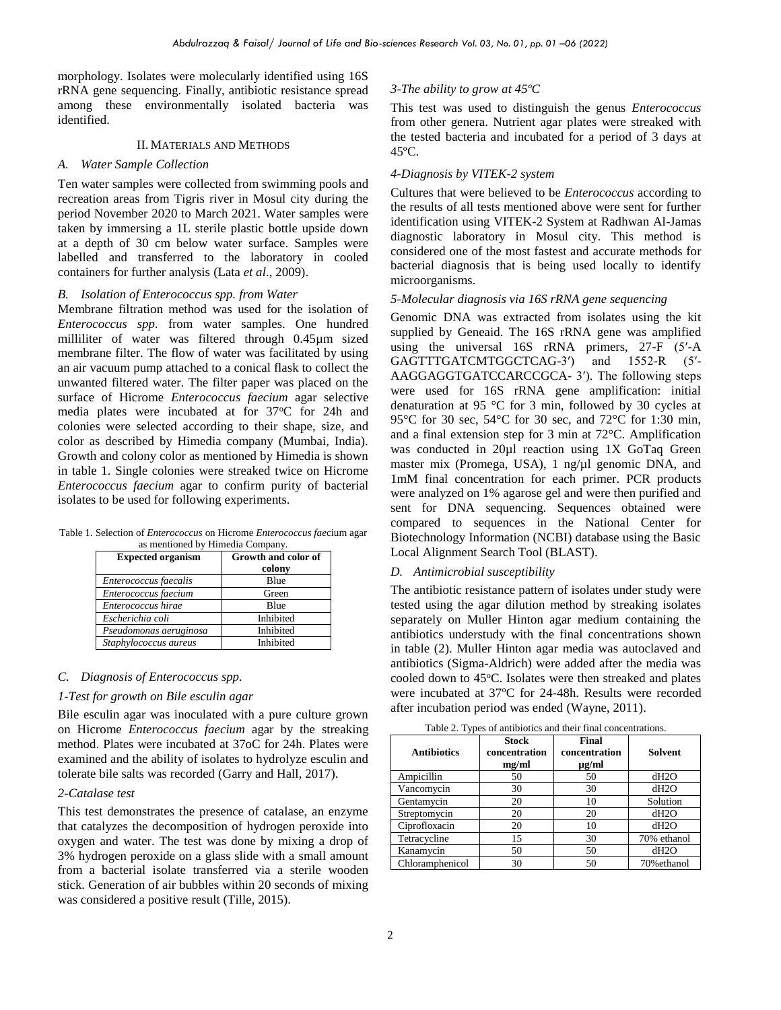morphology. Isolates were molecularly identified using 16S rRNA gene sequencing. Finally, antibiotic resistance spread among these environmentally isolated bacteria was identified.

## II. MATERIALS AND METHODS

## *A. Water Sample Collection*

Ten water samples were collected from swimming pools and recreation areas from Tigris river in Mosul city during the period November 2020 to March 2021. Water samples were taken by immersing a 1L sterile plastic bottle upside down at a depth of 30 cm below water surface. Samples were labelled and transferred to the laboratory in cooled containers for further analysis (Lata *et al*., 2009).

## *B. Isolation of Enterococcus spp. from Water*

Membrane filtration method was used for the isolation of *Enterococcus spp.* from water samples. One hundred milliliter of water was filtered through 0.45µm sized membrane filter. The flow of water was facilitated by using an air vacuum pump attached to a conical flask to collect the unwanted filtered water. The filter paper was placed on the surface of Hicrome *Enterococcus faecium* agar selective media plates were incubated at for 37°C for 24h and colonies were selected according to their shape, size, and color as described by Himedia company (Mumbai, India). Growth and colony color as mentioned by Himedia is shown in table 1. Single colonies were streaked twice on Hicrome *Enterococcus faecium* agar to confirm purity of bacterial isolates to be used for following experiments.

Table 1. Selection of *Enterococcus* on Hicrome *Enterococcus fae*cium agar as mentioned by Himedia Company.

| <b>Expected organism</b> | Growth and color of |  |  |  |  |
|--------------------------|---------------------|--|--|--|--|
|                          | colony              |  |  |  |  |
| Enterococcus faecalis    | Blue                |  |  |  |  |
| Enterococcus faecium     | Green               |  |  |  |  |
| Enterococcus hirae       | Blue                |  |  |  |  |
| Escherichia coli         | Inhibited           |  |  |  |  |
| Pseudomonas aeruginosa   | Inhibited           |  |  |  |  |
| Staphylococcus aureus    | Inhibited           |  |  |  |  |

## *C. Diagnosis of Enterococcus spp.*

### *1-Test for growth on Bile esculin agar*

Bile esculin agar was inoculated with a pure culture grown on Hicrome *Enterococcus faecium* agar by the streaking method. Plates were incubated at 37oC for 24h. Plates were examined and the ability of isolates to hydrolyze esculin and tolerate bile salts was recorded (Garry and Hall, 2017).

## *2-Catalase test*

This test demonstrates the presence of catalase, an enzyme that catalyzes the decomposition of hydrogen peroxide into oxygen and water. The test was done by mixing a drop of 3% hydrogen peroxide on a glass slide with a small amount from a bacterial isolate transferred via a sterile wooden stick. Generation of air bubbles within 20 seconds of mixing was considered a positive result (Tille, 2015).

## *3-The ability to grow at 45ºC*

This test was used to distinguish the genus *Enterococcus* from other genera. Nutrient agar plates were streaked with the tested bacteria and incubated for a period of 3 days at 45ºC.

# *4-Diagnosis by VITEK-2 system*

Cultures that were believed to be *Enterococcus* according to the results of all tests mentioned above were sent for further identification using VITEK-2 System at Radhwan Al-Jamas diagnostic laboratory in Mosul city. This method is considered one of the most fastest and accurate methods for bacterial diagnosis that is being used locally to identify microorganisms.

## *5-Molecular diagnosis via 16S rRNA gene sequencing*

Genomic DNA was extracted from isolates using the kit supplied by Geneaid. The 16S rRNA gene was amplified using the universal 16S rRNA primers, 27-F (5′-A GAGTTTGATCMTGGCTCAG-3′) and 1552-R (5′- AAGGAGGTGATCCARCCGCA- 3′). The following steps were used for 16S rRNA gene amplification: initial denaturation at 95 °C for 3 min, followed by 30 cycles at 95°C for 30 sec, 54°C for 30 sec, and 72°C for 1:30 min, and a final extension step for 3 min at 72°C. Amplification was conducted in 20µl reaction using 1X GoTaq Green master mix (Promega, USA), 1 ng/µl genomic DNA, and 1mM final concentration for each primer. PCR products were analyzed on 1% agarose gel and were then purified and sent for DNA sequencing. Sequences obtained were compared to sequences in the National Center for Biotechnology Information (NCBI) database using the Basic Local Alignment Search Tool (BLAST).

## *D. Antimicrobial susceptibility*

The antibiotic resistance pattern of isolates under study were tested using the agar dilution method by streaking isolates separately on Muller Hinton agar medium containing the antibiotics understudy with the final concentrations shown in table (2). Muller Hinton agar media was autoclaved and antibiotics (Sigma-Aldrich) were added after the media was cooled down to 45°C. Isolates were then streaked and plates were incubated at 37°C for 24-48h. Results were recorded after incubation period was ended (Wayne, 2011).

| <b>Antibiotics</b> | <b>Stock</b><br>concentration<br>mg/ml | Final<br>concentration<br>$\mu$ g/ml | Solvent           |
|--------------------|----------------------------------------|--------------------------------------|-------------------|
| Ampicillin         | 50                                     | 50                                   | dH2O              |
| Vancomycin         | 30                                     | 30                                   | dH2O              |
| Gentamycin         | 20                                     | 10                                   | Solution          |
| Streptomycin       | 20                                     | 20                                   | dH <sub>2</sub> O |
| Ciprofloxacin      | 20                                     | 10                                   | dH2O              |
| Tetracycline       | 15                                     | 30                                   | 70% ethanol       |
| Kanamycin          | 50                                     | 50                                   | dH <sub>2</sub> O |
| Chloramphenicol    | 30                                     | 50                                   | 70% ethanol       |

Table 2. Types of antibiotics and their final concentrations.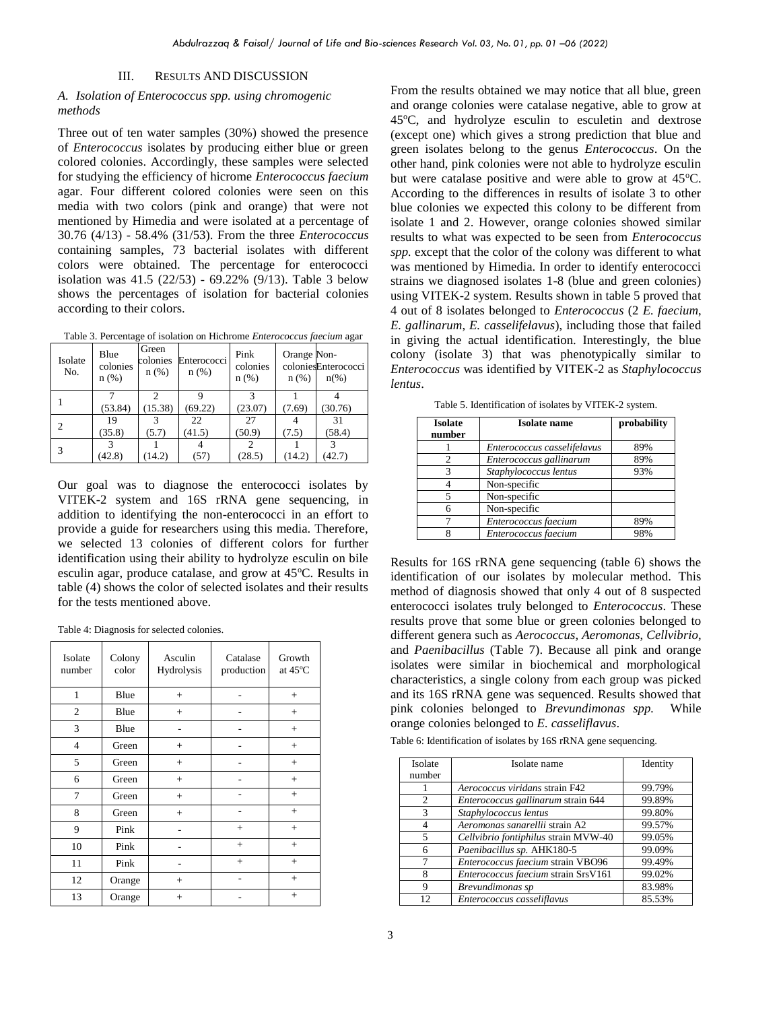## III. RESULTS AND DISCUSSION

# *A. Isolation of Enterococcus spp. using chromogenic methods*

Three out of ten water samples (30%) showed the presence of *Enterococcus* isolates by producing either blue or green colored colonies. Accordingly, these samples were selected for studying the efficiency of hicrome *Enterococcus faecium* agar. Four different colored colonies were seen on this media with two colors (pink and orange) that were not mentioned by Himedia and were isolated at a percentage of 30.76 (4/13) - 58.4% (31/53). From the three *Enterococcus* containing samples, 73 bacterial isolates with different colors were obtained. The percentage for enterococci isolation was 41.5 (22/53) - 69.22% (9/13). Table 3 below shows the percentages of isolation for bacterial colonies according to their colors.

| Table 3. Percentage of isolation on Hichrome Enterococcus faecium agar |  |  |  |  |
|------------------------------------------------------------------------|--|--|--|--|
|                                                                        |  |  |  |  |

| Isolate<br>No. | Blue<br>colonies<br>n(%) | Green<br>colonies<br>n(%) | Enterococci<br>n(%) | Pink<br>colonies<br>$n$ (%) | Orange Non-<br>$n$ (%) | coloniesEnterococci<br>$n\left(\%\right)$ |
|----------------|--------------------------|---------------------------|---------------------|-----------------------------|------------------------|-------------------------------------------|
|                | (53.84)                  | (15.38)                   | (69.22)             | (23.07)                     | (7.69)                 | (30.76)                                   |
| 2              | 19<br>(35.8)             | (5.7)                     | 22<br>(41.5)        | 27<br>(50.9)                | (7.5)                  | 31<br>(58.4)                              |
| 3              | (42.8)                   | (14.2)                    | (57)                | (28.5)                      | (14.2)                 | (42.7)                                    |

Our goal was to diagnose the enterococci isolates by VITEK-2 system and 16S rRNA gene sequencing, in addition to identifying the non-enterococci in an effort to provide a guide for researchers using this media. Therefore, we selected 13 colonies of different colors for further identification using their ability to hydrolyze esculin on bile esculin agar, produce catalase, and grow at 45°C. Results in table (4) shows the color of selected isolates and their results for the tests mentioned above.

|  | Table 4: Diagnosis for selected colonies. |  |  |  |
|--|-------------------------------------------|--|--|--|
|--|-------------------------------------------|--|--|--|

| Isolate<br>number | Colony<br>color | Asculin<br>Hydrolysis | Catalase<br>production | Growth<br>at 45°C |
|-------------------|-----------------|-----------------------|------------------------|-------------------|
| 1                 | Blue            | $+$                   |                        | $^{+}$            |
| $\overline{c}$    | Blue            | $+$                   |                        | $^{+}$            |
| 3                 | Blue            |                       |                        | $^{+}$            |
| 4                 | Green           | $^{+}$                |                        | $^{+}$            |
| 5                 | Green           | $^{+}$                |                        | $^{+}$            |
| 6                 | Green           | $+$                   |                        | $+$               |
| 7                 | Green           | $^{+}$                |                        | $^{+}$            |
| 8                 | Green           | $+$                   |                        | $+$               |
| 9                 | Pink            |                       | $^{+}$                 | $+$               |
| 10                | Pink            |                       | $+$                    | $+$               |
| 11                | Pink            |                       | $+$                    | $+$               |
| 12                | Orange          | $^{+}$                |                        | $^{+}$            |
| 13                | Orange          | $+$                   |                        | $+$               |

From the results obtained we may notice that all blue, green and orange colonies were catalase negative, able to grow at 45°C, and hydrolyze esculin to esculetin and dextrose (except one) which gives a strong prediction that blue and green isolates belong to the genus *Enterococcus*. On the other hand, pink colonies were not able to hydrolyze esculin but were catalase positive and were able to grow at  $45^{\circ}$ C. According to the differences in results of isolate 3 to other blue colonies we expected this colony to be different from isolate 1 and 2. However, orange colonies showed similar results to what was expected to be seen from *Enterococcus spp.* except that the color of the colony was different to what was mentioned by Himedia. In order to identify enterococci strains we diagnosed isolates 1-8 (blue and green colonies) using VITEK-2 system. Results shown in table 5 proved that 4 out of 8 isolates belonged to *Enterococcus* (2 *E. faecium*, *E. gallinarum*, *E. casselifelavus*), including those that failed in giving the actual identification. Interestingly, the blue colony (isolate 3) that was phenotypically similar to *Enterococcus* was identified by VITEK-2 as *Staphylococcus lentus*.

Table 5. Identification of isolates by VITEK-2 system.

| <b>Isolate</b><br>number    | <b>Isolate name</b>         | probability |  |  |
|-----------------------------|-----------------------------|-------------|--|--|
|                             | Enterococcus casselifelavus | 89%         |  |  |
| $\mathcal{D}_{\mathcal{L}}$ | Enterococcus gallinarum     | 89%         |  |  |
|                             | Staphylococcus lentus       | 93%         |  |  |
|                             | Non-specific                |             |  |  |
|                             | Non-specific                |             |  |  |
|                             | Non-specific                |             |  |  |
|                             | Enterococcus faecium        | 89%         |  |  |
|                             | Enterococcus faecium        | 98%         |  |  |

Results for 16S rRNA gene sequencing (table 6) shows the identification of our isolates by molecular method. This method of diagnosis showed that only 4 out of 8 suspected enterococci isolates truly belonged to *Enterococcus*. These results prove that some blue or green colonies belonged to different genera such as *Aerococcus*, *Aeromonas*, *Cellvibrio*, and *Paenibacillus* (Table 7). Because all pink and orange isolates were similar in biochemical and morphological characteristics, a single colony from each group was picked and its 16S rRNA gene was sequenced. Results showed that pink colonies belonged to *Brevundimonas spp.* While orange colonies belonged to *E. casseliflavus*.

Table 6: Identification of isolates by 16S rRNA gene sequencing.

| Isolate | Isolate name                         | Identity |
|---------|--------------------------------------|----------|
| number  |                                      |          |
|         | Aerococcus viridans strain F42       | 99.79%   |
| 2       | Enterococcus gallinarum strain 644   | 99.89%   |
| 3       | Staphylococcus lentus                | 99.80%   |
|         | Aeromonas sanarellii strain A2       | 99.57%   |
| 5       | Cellvibrio fontiphilus strain MVW-40 | 99.05%   |
| 6       | Paenibacillus sp. AHK180-5           | 99.09%   |
|         | Enterococcus faecium strain VBO96    | 99.49%   |
| 8       | Enterococcus faecium strain SrsV161  | 99.02%   |
| 9       | Brevundimonas sp                     | 83.98%   |
|         | Enterococcus casseliflavus           | 85.53%   |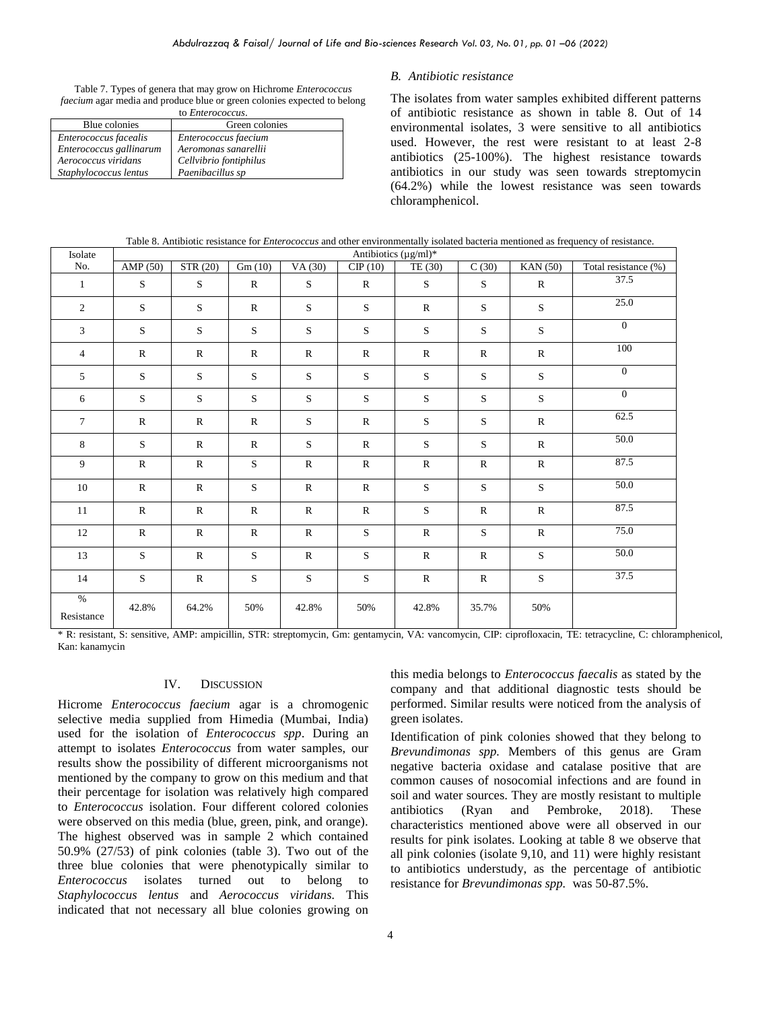Table 7. Types of genera that may grow on Hichrome *Enterococcus faecium* agar media and produce blue or green colonies expected to belong to *Enterococcus*.

| Blue colonies           | Green colonies         |
|-------------------------|------------------------|
| Enterococcus facealis   | Enterococcus faecium   |
| Enterococcus gallinarum | Aeromonas sanarellii   |
| Aerococcus viridans     | Cellvibrio fontiphilus |
| Staphylococcus lentus   | Paenibacillus sp       |

## *B. Antibiotic resistance*

The isolates from water samples exhibited different patterns of antibiotic resistance as shown in table 8. Out of 14 environmental isolates, 3 were sensitive to all antibiotics used. However, the rest were resistant to at least 2-8 antibiotics (25-100%). The highest resistance towards antibiotics in our study was seen towards streptomycin (64.2%) while the lowest resistance was seen towards chloramphenicol.

| Isolate            | Antibiotics (µg/ml)* |              |              |              |                   |                            |              |                 |                      |
|--------------------|----------------------|--------------|--------------|--------------|-------------------|----------------------------|--------------|-----------------|----------------------|
| No.                | AMP(50)              | STR (20)     | Gm(10)       | VA (30)      | $\text{CP } (10)$ | $\overline{\text{TE}(30)}$ | C(30)        | <b>KAN</b> (50) | Total resistance (%) |
| $\mathbf{1}$       | S                    | $\mathbf S$  | $\mathbb{R}$ | ${\bf S}$    | $\mathbb{R}$      | ${\bf S}$                  | S            | $\mathbb{R}$    | 37.5                 |
| $\overline{2}$     | $\mathbf S$          | S            | $\mathbb{R}$ | S            | $\mathbf S$       | $\mathbb{R}$               | S            | S               | 25.0                 |
| $\mathbf{3}$       | S.                   | S            | S            | S            | S                 | S.                         | S            | S               | $\mathbf{0}$         |
| $\overline{4}$     | $\mathbb{R}$         | $\mathbb{R}$ | $\mathbb{R}$ | $\mathbb{R}$ | ${\bf R}$         | ${\bf R}$                  | $\mathbb{R}$ | ${\bf R}$       | 100                  |
| 5                  | S                    | S            | $\mathbf S$  | S            | S                 | S                          | S            | $\mathbf S$     | $\mathbf{0}$         |
| 6                  | $\mathbf S$          | ${\bf S}$    | $\mathbf S$  | ${\bf S}$    | ${\bf S}$         | ${\bf S}$                  | ${\bf S}$    | S               | $\mathbf{0}$         |
| $\tau$             | $\mathbb{R}$         | $\mathbb{R}$ | $\mathbb{R}$ | S            | ${\bf R}$         | S                          | S            | $\mathbb{R}$    | 62.5                 |
| 8                  | S                    | $\mathbb{R}$ | $\mathbb{R}$ | S            | $\mathbb{R}$      | S                          | S            | $\mathbb{R}$    | 50.0                 |
| 9                  | $\mathbf R$          | $\mathbb{R}$ | $\mathbf S$  | ${\bf R}$    | ${\bf R}$         | ${\bf R}$                  | $\mathbb{R}$ | $\mathbb{R}$    | 87.5                 |
| 10                 | ${\bf R}$            | ${\bf R}$    | S            | $\mathbb{R}$ | ${\bf R}$         | ${\bf S}$                  | ${\bf S}$    | S               | 50.0                 |
| $11\,$             | ${\bf R}$            | $\mathbb{R}$ | ${\bf R}$    | $\mathbb{R}$ | ${\bf R}$         | ${\bf S}$                  | $\mathbb{R}$ | ${\bf R}$       | 87.5                 |
| 12                 | $\mathbb{R}$         | $\mathbb{R}$ | $\mathbb{R}$ | $\mathbb{R}$ | S                 | ${\bf R}$                  | S            | ${\bf R}$       | 75.0                 |
| 13                 | S                    | $\mathbb{R}$ | S            | ${\bf R}$    | S                 | $\mathbb{R}$               | $\mathbb{R}$ | S               | 50.0                 |
| 14                 | $\mathbf S$          | $\mathbf R$  | $\mathbf S$  | ${\bf S}$    | S                 | $\mathbb{R}$               | ${\bf R}$    | $\mathbf S$     | 37.5                 |
| $\%$<br>Resistance | 42.8%                | 64.2%        | 50%          | 42.8%        | 50%               | 42.8%                      | 35.7%        | 50%             |                      |

Table 8. Antibiotic resistance for *Enterococcus* and other environmentally isolated bacteria mentioned as frequency of resistance.

\* R: resistant, S: sensitive, AMP: ampicillin, STR: streptomycin, Gm: gentamycin, VA: vancomycin, CIP: ciprofloxacin, TE: tetracycline, C: chloramphenicol, Kan: kanamycin

# IV. DISCUSSION

Hicrome *Enterococcus faecium* agar is a chromogenic selective media supplied from Himedia (Mumbai, India) used for the isolation of *Enterococcus spp*. During an attempt to isolates *Enterococcus* from water samples, our results show the possibility of different microorganisms not mentioned by the company to grow on this medium and that their percentage for isolation was relatively high compared to *Enterococcus* isolation. Four different colored colonies were observed on this media (blue, green, pink, and orange). The highest observed was in sample 2 which contained 50.9% (27/53) of pink colonies (table 3). Two out of the three blue colonies that were phenotypically similar to *Enterococcus* isolates turned out to belong to *Staphylococcus lentus* and *Aerococcus viridans.* This indicated that not necessary all blue colonies growing on this media belongs to *Enterococcus faecalis* as stated by the company and that additional diagnostic tests should be performed. Similar results were noticed from the analysis of green isolates.

Identification of pink colonies showed that they belong to *Brevundimonas spp.* Members of this genus are Gram negative bacteria oxidase and catalase positive that are common causes of nosocomial infections and are found in soil and water sources. They are mostly resistant to multiple antibiotics (Ryan and Pembroke, 2018). These characteristics mentioned above were all observed in our results for pink isolates. Looking at table 8 we observe that all pink colonies (isolate 9,10, and 11) were highly resistant to antibiotics understudy, as the percentage of antibiotic resistance for *Brevundimonas spp.* was 50-87.5%.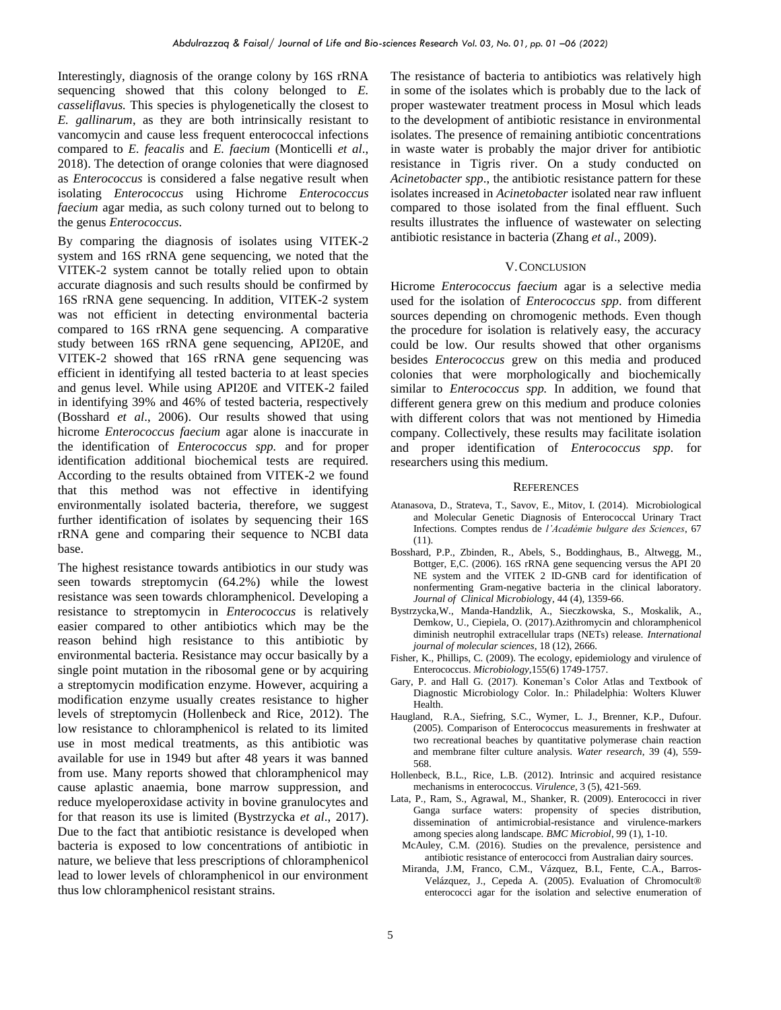Interestingly, diagnosis of the orange colony by 16S rRNA sequencing showed that this colony belonged to *E. casseliflavus.* This species is phylogenetically the closest to *E. gallinarum*, as they are both intrinsically resistant to vancomycin and cause less frequent enterococcal infections compared to *E. feacalis* and *E. faecium* (Monticelli *et al*., 2018). The detection of orange colonies that were diagnosed as *Enterococcus* is considered a false negative result when isolating *Enterococcus* using Hichrome *Enterococcus faecium* agar media, as such colony turned out to belong to the genus *Enterococcus*.

By comparing the diagnosis of isolates using VITEK-2 system and 16S rRNA gene sequencing, we noted that the VITEK-2 system cannot be totally relied upon to obtain accurate diagnosis and such results should be confirmed by 16S rRNA gene sequencing. In addition, VITEK-2 system was not efficient in detecting environmental bacteria compared to 16S rRNA gene sequencing. A comparative study between 16S rRNA gene sequencing, API20E, and VITEK-2 showed that 16S rRNA gene sequencing was efficient in identifying all tested bacteria to at least species and genus level. While using API20E and VITEK-2 failed in identifying 39% and 46% of tested bacteria, respectively (Bosshard *et al*., 2006). Our results showed that using hicrome *Enterococcus faecium* agar alone is inaccurate in the identification of *Enterococcus spp.* and for proper identification additional biochemical tests are required. According to the results obtained from VITEK-2 we found that this method was not effective in identifying environmentally isolated bacteria, therefore, we suggest further identification of isolates by sequencing their 16S rRNA gene and comparing their sequence to NCBI data base.

The highest resistance towards antibiotics in our study was seen towards streptomycin (64.2%) while the lowest resistance was seen towards chloramphenicol. Developing a resistance to streptomycin in *Enterococcus* is relatively easier compared to other antibiotics which may be the reason behind high resistance to this antibiotic by environmental bacteria. Resistance may occur basically by a single point mutation in the ribosomal gene or by acquiring a streptomycin modification enzyme. However, acquiring a modification enzyme usually creates resistance to higher levels of streptomycin (Hollenbeck and Rice, 2012). The low resistance to chloramphenicol is related to its limited use in most medical treatments, as this antibiotic was available for use in 1949 but after 48 years it was banned from use. Many reports showed that chloramphenicol may cause aplastic anaemia, bone marrow suppression, and reduce myeloperoxidase activity in bovine granulocytes and for that reason its use is limited (Bystrzycka *et al*., 2017). Due to the fact that antibiotic resistance is developed when bacteria is exposed to low concentrations of antibiotic in nature, we believe that less prescriptions of chloramphenicol lead to lower levels of chloramphenicol in our environment thus low chloramphenicol resistant strains.

The resistance of bacteria to antibiotics was relatively high in some of the isolates which is probably due to the lack of proper wastewater treatment process in Mosul which leads to the development of antibiotic resistance in environmental isolates. The presence of remaining antibiotic concentrations in waste water is probably the major driver for antibiotic resistance in Tigris river. On a study conducted on *Acinetobacter spp*., the antibiotic resistance pattern for these isolates increased in *Acinetobacter* isolated near raw influent compared to those isolated from the final effluent. Such results illustrates the influence of wastewater on selecting antibiotic resistance in bacteria (Zhang *et al*., 2009).

## V.CONCLUSION

Hicrome *Enterococcus faecium* agar is a selective media used for the isolation of *Enterococcus spp*. from different sources depending on chromogenic methods. Even though the procedure for isolation is relatively easy, the accuracy could be low. Our results showed that other organisms besides *Enterococcus* grew on this media and produced colonies that were morphologically and biochemically similar to *Enterococcus spp.* In addition, we found that different genera grew on this medium and produce colonies with different colors that was not mentioned by Himedia company. Collectively, these results may facilitate isolation and proper identification of *Enterococcus spp.* for researchers using this medium.

### **REFERENCES**

- Atanasova, D., Strateva, T., Savov, E., Mitov, I. (2014). Microbiological and Molecular Genetic Diagnosis of Enterococcal Urinary Tract Infections. Comptes rendus de *l'Académie bulgare des Sciences*, 67 (11).
- Bosshard, P.P., Zbinden, R., Abels, S., Boddinghaus, B., Altwegg, M., Bottger, E,C. (2006). 16S rRNA gene sequencing versus the API 20 NE system and the VITEK 2 ID-GNB card for identification of nonfermenting Gram-negative bacteria in the clinical laboratory. *Journal of Clinical Microbiol*ogy, 44 (4), 1359-66.
- Bystrzycka,W., Manda-Handzlik, A., Sieczkowska, S., Moskalik, A., Demkow, U., Ciepiela, O. (2017).Azithromycin and chloramphenicol diminish neutrophil extracellular traps (NETs) release. *International journal of molecular sciences*, 18 (12), 2666.
- Fisher, K., Phillips, C. (2009). The ecology, epidemiology and virulence of Enterococcus. *Microbiology*,155(6) 1749-1757.
- Gary, P. and Hall G. (2017). Koneman's Color Atlas and Textbook of Diagnostic Microbiology Color. In.: Philadelphia: Wolters Kluwer Health.
- Haugland, R.A., Siefring, S.C., Wymer, L. J., Brenner, K.P., Dufour. (2005). Comparison of Enterococcus measurements in freshwater at two recreational beaches by quantitative polymerase chain reaction and membrane filter culture analysis. *Water research*, 39 (4), 559- 568.
- Hollenbeck, B.L., Rice, L.B. (2012). Intrinsic and acquired resistance mechanisms in enterococcus. *Virulence*, 3 (5), 421-569.
- Lata, P., Ram, S., Agrawal, M., Shanker, R. (2009). Enterococci in river Ganga surface waters: propensity of species distribution, dissemination of antimicrobial-resistance and virulence-markers among species along landscape. *BMC Microbiol*, 99 (1), 1-10.
	- McAuley, C.M. (2016). Studies on the prevalence, persistence and antibiotic resistance of enterococci from Australian dairy sources.
	- Miranda, J.M, Franco, C.M., Vázquez, B.I., Fente, C.A., Barros-Velázquez, J., Cepeda A. (2005). Evaluation of Chromocult® enterococci agar for the isolation and selective enumeration of